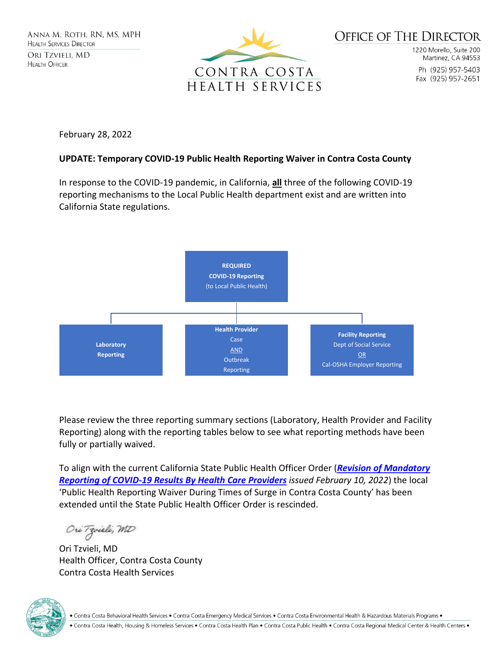

1220 Morello, Suite 200 Martinez, CA 94553 Ph (925) 957-5403 Fax (925) 957-2651

February 28, 2022

#### **UPDATE: Temporary COVID-19 Public Health Reporting Waiver in Contra Costa County**

In response to the COVID-19 pandemic, in California, **all** three of the following COVID-19 reporting mechanisms to the Local Public Health department exist and are written into California State regulations.



Please review the three reporting summary sections (Laboratory, Health Provider and Facility Reporting) along with the reporting tables below to see what reporting methods have been fully or partially waived.

To align with the current California State Public Health Officer Order (*[Revision of Mandatory](https://www.cdph.ca.gov/Programs/CID/DCDC/Pages/COVID-19/Order-of-the-State-Public-Health-Officer-Revision-of-Mandatory-Reporting-of-Covid-19-Results-by-Health-Care-Providers.aspx)  [Reporting of COVID-19 Results By Health Care Providers](https://www.cdph.ca.gov/Programs/CID/DCDC/Pages/COVID-19/Order-of-the-State-Public-Health-Officer-Revision-of-Mandatory-Reporting-of-Covid-19-Results-by-Health-Care-Providers.aspx) issued February 10, 2022*) the local 'Public Health Reporting Waiver During Times of Surge in Contra Costa County' has been extended until the State Public Health Officer Order is rescinded.

Ori Tzvieli, MD

Ori Tzvieli, MD Health Officer, Contra Costa County Contra Costa Health Services



. Contra Costa Behavioral Health Services . Contra Costa Emergency Medical Services . Contra Costa Environmental Health & Hazardous Materials Programs .

. Contra Costa Health, Housing & Homeless Services . Contra Costa Health Plan . Contra Costa Public Health . Contra Costa Regional Medical Center & Health Centers .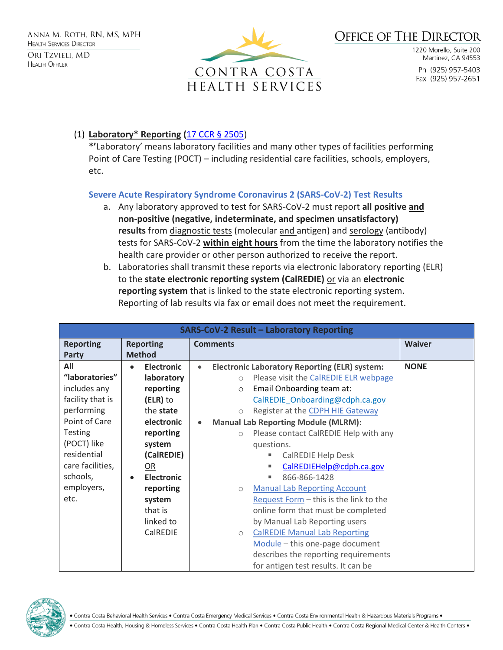

1220 Morello, Suite 200 Martinez, CA 94553 Ph (925) 957-5403 Fax (925) 957-2651

### (1) **Laboratory\* Reporting (**[17 CCR § 2505\)](https://govt.westlaw.com/calregs/Document/I1947D280662411E384928538D6692020?viewType=FullText&originationContext=documenttoc&transitionType=CategoryPageItem&contextData=(sc.Default))

**\*'**Laboratory' means laboratory facilities and many other types of facilities performing Point of Care Testing (POCT) – including residential care facilities, schools, employers, etc.

### **Severe Acute Respiratory Syndrome Coronavirus 2 (SARS-CoV-2) Test Results**

- a. Any laboratory approved to test for SARS-CoV-2 must report **all positive and non-positive (negative, indeterminate, and specimen unsatisfactory) results** from diagnostic tests (molecular and antigen) and serology (antibody) tests for SARS-CoV-2 **within eight hours** from the time the laboratory notifies the health care provider or other person authorized to receive the report.
- b. Laboratories shall transmit these reports via electronic laboratory reporting (ELR) to the **state electronic reporting system (CalREDIE)** or via an **electronic reporting system** that is linked to the state electronic reporting system. Reporting of lab results via fax or email does not meet the requirement.

| <b>SARS-CoV-2 Result - Laboratory Reporting</b> |                                |                                                                   |               |  |
|-------------------------------------------------|--------------------------------|-------------------------------------------------------------------|---------------|--|
| <b>Reporting</b>                                | <b>Reporting</b>               | <b>Comments</b>                                                   | <b>Waiver</b> |  |
| <b>Party</b>                                    | <b>Method</b>                  |                                                                   |               |  |
| All                                             | <b>Electronic</b><br>$\bullet$ | <b>Electronic Laboratory Reporting (ELR) system:</b><br>$\bullet$ | <b>NONE</b>   |  |
| "laboratories"                                  | laboratory                     | Please visit the CalREDIE ELR webpage<br>$\bigcirc$               |               |  |
| includes any                                    | reporting                      | Email Onboarding team at:<br>$\circ$                              |               |  |
| facility that is                                | (ELR) to                       | CalREDIE Onboarding@cdph.ca.gov                                   |               |  |
| performing                                      | the state                      | Register at the CDPH HIE Gateway<br>$\circ$                       |               |  |
| Point of Care                                   | electronic                     | <b>Manual Lab Reporting Module (MLRM):</b><br>$\bullet$           |               |  |
| <b>Testing</b>                                  | reporting                      | Please contact CalREDIE Help with any<br>$\bigcirc$               |               |  |
| (POCT) like                                     | system                         | questions.                                                        |               |  |
| residential                                     | (CalREDIE)                     | <b>CalREDIE Help Desk</b>                                         |               |  |
| care facilities,                                | OR                             | CalREDIEHelp@cdph.ca.gov                                          |               |  |
| schools,                                        | <b>Electronic</b><br>$\bullet$ | 866-866-1428<br>ш                                                 |               |  |
| employers,                                      | reporting                      | <b>Manual Lab Reporting Account</b><br>$\circ$                    |               |  |
| etc.                                            | system                         | Request Form - this is the link to the                            |               |  |
|                                                 | that is                        | online form that must be completed                                |               |  |
|                                                 | linked to                      | by Manual Lab Reporting users                                     |               |  |
|                                                 | CalREDIE                       | <b>CalREDIE Manual Lab Reporting</b><br>$\bigcirc$                |               |  |
|                                                 |                                | Module - this one-page document                                   |               |  |
|                                                 |                                | describes the reporting requirements                              |               |  |
|                                                 |                                | for antigen test results. It can be                               |               |  |

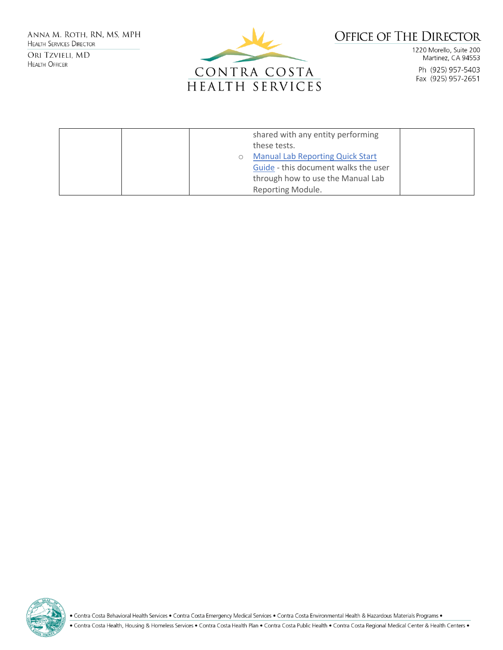ANNA M. ROTH, RN, MS, MPH **HEALTH SERVICES DIRECTOR** ORI TZVIELI, MD **HEALTH OFFICER** 



# **OFFICE OF THE DIRECTOR**

1220 Morello, Suite 200 Martinez, CA 94553 Ph (925) 957-5403 Fax (925) 957-2651

|  | shared with any entity performing       |  |
|--|-----------------------------------------|--|
|  | these tests.                            |  |
|  | <b>Manual Lab Reporting Quick Start</b> |  |
|  | Guide - this document walks the user    |  |
|  | through how to use the Manual Lab       |  |
|  | Reporting Module.                       |  |

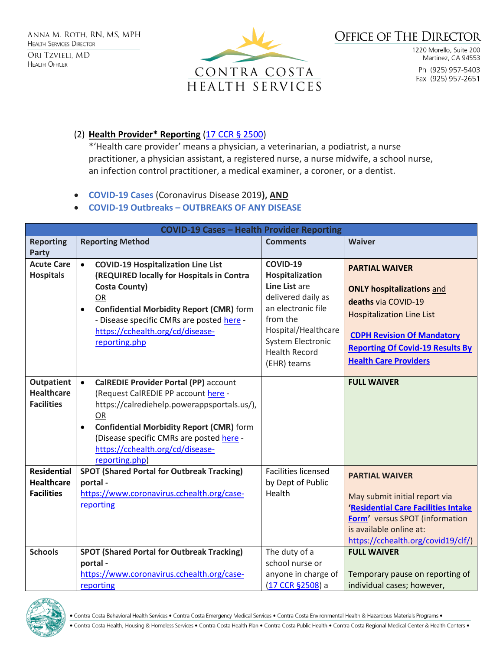

1220 Morello, Suite 200 Martinez, CA 94553 Ph (925) 957-5403 Fax (925) 957-2651

### (2) **Health Provider\* Reporting** [\(17 CCR § 2500\)](https://govt.westlaw.com/calregs/Document/I5849DB60A9CD11E0AE80D7A8DD0B623B?viewType=FullText&originationContext=documenttoc&transitionType=CategoryPageItem&contextData=(sc.Default))

\*'Health care provider' means a physician, a veterinarian, a podiatrist, a nurse practitioner, a physician assistant, a registered nurse, a nurse midwife, a school nurse, an infection control practitioner, a medical examiner, a coroner, or a dentist.

• **COVID-19 Cases** (Coronavirus Disease 2019**), AND**

### • **COVID-19 Outbreaks – OUTBREAKS OF ANY DISEASE**

| <b>COVID-19 Cases - Health Provider Reporting</b>            |                                                                                                                                                                                                                                                                                                            |                                                                                                                                                                                         |                                                                                                                                                                                                                                      |  |  |  |
|--------------------------------------------------------------|------------------------------------------------------------------------------------------------------------------------------------------------------------------------------------------------------------------------------------------------------------------------------------------------------------|-----------------------------------------------------------------------------------------------------------------------------------------------------------------------------------------|--------------------------------------------------------------------------------------------------------------------------------------------------------------------------------------------------------------------------------------|--|--|--|
| <b>Reporting</b>                                             | <b>Reporting Method</b>                                                                                                                                                                                                                                                                                    | <b>Comments</b>                                                                                                                                                                         | <b>Waiver</b>                                                                                                                                                                                                                        |  |  |  |
| <b>Party</b><br><b>Acute Care</b><br><b>Hospitals</b>        | <b>COVID-19 Hospitalization Line List</b><br>$\bullet$<br>(REQUIRED locally for Hospitals in Contra<br><b>Costa County)</b><br>OR<br><b>Confidential Morbidity Report (CMR)</b> form<br>$\bullet$<br>- Disease specific CMRs are posted here -<br>https://cchealth.org/cd/disease-<br>reporting.php        | COVID-19<br>Hospitalization<br>Line List are<br>delivered daily as<br>an electronic file<br>from the<br>Hospital/Healthcare<br>System Electronic<br><b>Health Record</b><br>(EHR) teams | <b>PARTIAL WAIVER</b><br><b>ONLY hospitalizations and</b><br>deaths via COVID-19<br><b>Hospitalization Line List</b><br><b>CDPH Revision Of Mandatory</b><br><b>Reporting Of Covid-19 Results By</b><br><b>Health Care Providers</b> |  |  |  |
| <b>Outpatient</b><br><b>Healthcare</b><br><b>Facilities</b>  | <b>CalREDIE Provider Portal (PP) account</b><br>(Request CalREDIE PP account here -<br>https://calrediehelp.powerappsportals.us/),<br>OR<br><b>Confidential Morbidity Report (CMR)</b> form<br>$\bullet$<br>(Disease specific CMRs are posted here -<br>https://cchealth.org/cd/disease-<br>reporting.php) |                                                                                                                                                                                         | <b>FULL WAIVER</b>                                                                                                                                                                                                                   |  |  |  |
| <b>Residential</b><br><b>Healthcare</b><br><b>Facilities</b> | <b>SPOT (Shared Portal for Outbreak Tracking)</b><br>portal -<br>https://www.coronavirus.cchealth.org/case-<br>reporting                                                                                                                                                                                   | <b>Facilities licensed</b><br>by Dept of Public<br>Health                                                                                                                               | <b>PARTIAL WAIVER</b><br>May submit initial report via<br>'Residential Care Facilities Intake<br>Form' versus SPOT (information<br>is available online at:<br>https://cchealth.org/covid19/clf/)                                     |  |  |  |
| <b>Schools</b>                                               | <b>SPOT (Shared Portal for Outbreak Tracking)</b><br>portal -<br>https://www.coronavirus.cchealth.org/case-<br>reporting                                                                                                                                                                                   | The duty of a<br>school nurse or<br>anyone in charge of<br>(17 CCR §2508) a                                                                                                             | <b>FULL WAIVER</b><br>Temporary pause on reporting of<br>individual cases; however,                                                                                                                                                  |  |  |  |



• Contra Costa Health, Housing & Homeless Services • Contra Costa Health Plan • Contra Costa Public Health • Contra Costa Regional Medical Center & Health Centers •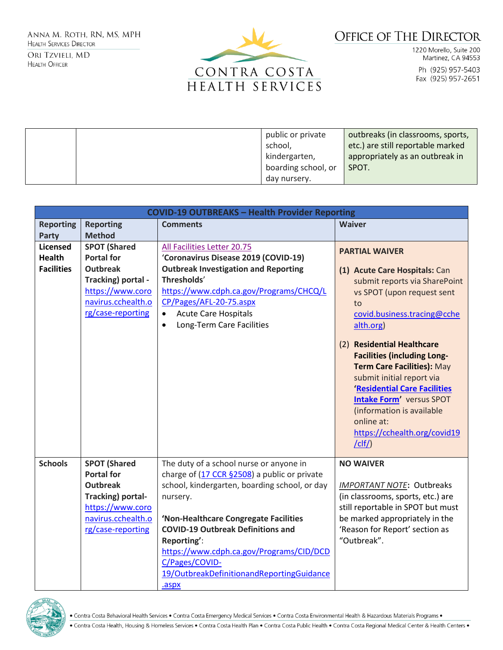ANNA M. ROTH, RN, MS, MPH **HEALTH SERVICES DIRECTOR** ORI TZVIELI, MD

**HEALTH OFFICER** 



# **OFFICE OF THE DIRECTOR**

1220 Morello, Suite 200 Martinez, CA 94553 Ph (925) 957-5403 Fax (925) 957-2651

|  | public or private   | outbreaks (in classrooms, sports, |
|--|---------------------|-----------------------------------|
|  | school,             | etc.) are still reportable marked |
|  | kindergarten,       | appropriately as an outbreak in   |
|  | boarding school, or | SPOT.                             |
|  | day nursery.        |                                   |

| <b>COVID-19 OUTBREAKS - Health Provider Reporting</b> |                     |                                               |                                                                  |  |  |
|-------------------------------------------------------|---------------------|-----------------------------------------------|------------------------------------------------------------------|--|--|
| <b>Reporting</b>                                      | <b>Reporting</b>    | <b>Comments</b>                               | <b>Waiver</b>                                                    |  |  |
| <b>Party</b>                                          | <b>Method</b>       |                                               |                                                                  |  |  |
| <b>Licensed</b>                                       | <b>SPOT (Shared</b> | All Facilities Letter 20.75                   | <b>PARTIAL WAIVER</b>                                            |  |  |
| <b>Health</b>                                         | <b>Portal for</b>   | 'Coronavirus Disease 2019 (COVID-19)          |                                                                  |  |  |
| <b>Facilities</b>                                     | <b>Outbreak</b>     | <b>Outbreak Investigation and Reporting</b>   | (1) Acute Care Hospitals: Can                                    |  |  |
|                                                       | Tracking) portal -  | Thresholds'                                   | submit reports via SharePoint                                    |  |  |
|                                                       | https://www.coro    | https://www.cdph.ca.gov/Programs/CHCQ/L       | vs SPOT (upon request sent                                       |  |  |
|                                                       | navirus.cchealth.o  | CP/Pages/AFL-20-75.aspx                       | to                                                               |  |  |
|                                                       | rg/case-reporting   | <b>Acute Care Hospitals</b><br>$\bullet$      | covid.business.tracing@cche                                      |  |  |
|                                                       |                     | Long-Term Care Facilities<br>$\bullet$        | alth.org)                                                        |  |  |
|                                                       |                     |                                               |                                                                  |  |  |
|                                                       |                     |                                               | (2) Residential Healthcare                                       |  |  |
|                                                       |                     |                                               | <b>Facilities (including Long-</b><br>Term Care Facilities): May |  |  |
|                                                       |                     |                                               | submit initial report via                                        |  |  |
|                                                       |                     |                                               | 'Residential Care Facilities                                     |  |  |
|                                                       |                     |                                               | <b>Intake Form' versus SPOT</b>                                  |  |  |
|                                                       |                     |                                               | (information is available                                        |  |  |
|                                                       |                     |                                               | online at:                                                       |  |  |
|                                                       |                     |                                               | https://cchealth.org/covid19                                     |  |  |
|                                                       |                     |                                               | /clf/                                                            |  |  |
|                                                       |                     |                                               |                                                                  |  |  |
| <b>Schools</b>                                        | <b>SPOT (Shared</b> | The duty of a school nurse or anyone in       | <b>NO WAIVER</b>                                                 |  |  |
|                                                       | <b>Portal for</b>   | charge of (17 CCR §2508) a public or private  |                                                                  |  |  |
|                                                       | <b>Outbreak</b>     | school, kindergarten, boarding school, or day | <b>IMPORTANT NOTE: Outbreaks</b>                                 |  |  |
|                                                       | Tracking) portal-   | nursery.                                      | (in classrooms, sports, etc.) are                                |  |  |
|                                                       | https://www.coro    |                                               | still reportable in SPOT but must                                |  |  |
|                                                       | navirus.cchealth.o  | 'Non-Healthcare Congregate Facilities         | be marked appropriately in the                                   |  |  |
|                                                       | rg/case-reporting   | <b>COVID-19 Outbreak Definitions and</b>      | 'Reason for Report' section as                                   |  |  |
|                                                       |                     | Reporting':                                   | "Outbreak".                                                      |  |  |
|                                                       |                     | https://www.cdph.ca.gov/Programs/CID/DCD      |                                                                  |  |  |
|                                                       |                     | C/Pages/COVID-                                |                                                                  |  |  |
|                                                       |                     | 19/OutbreakDefinitionandReportingGuidance     |                                                                  |  |  |
|                                                       |                     | .aspx                                         |                                                                  |  |  |



. Contra Costa Behavioral Health Services . Contra Costa Emergency Medical Services . Contra Costa Environmental Health & Hazardous Materials Programs .

. Contra Costa Health, Housing & Homeless Services . Contra Costa Health Plan . Contra Costa Public Health . Contra Costa Regional Medical Center & Health Centers .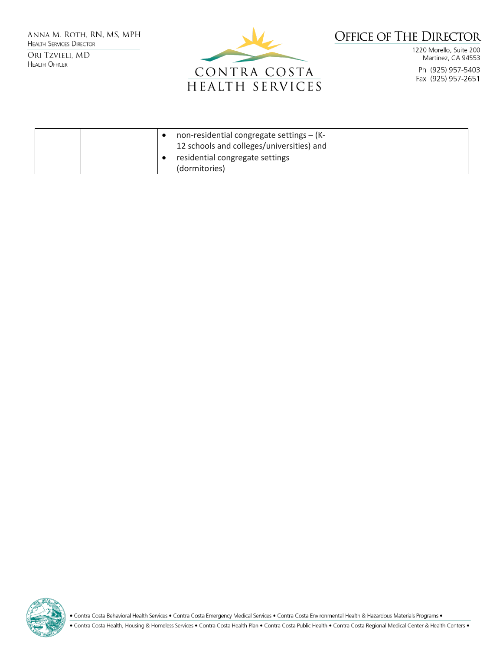ANNA M. ROTH, RN, MS, MPH **HEALTH SERVICES DIRECTOR** ORI TZVIELI, MD

**HEALTH OFFICER** 



# **OFFICE OF THE DIRECTOR**

1220 Morello, Suite 200 Martinez, CA 94553 Ph (925) 957-5403 Fax (925) 957-2651

|  | non-residential congregate settings $-$ (K-<br>12 schools and colleges/universities) and<br>residential congregate settings |  |
|--|-----------------------------------------------------------------------------------------------------------------------------|--|
|  | (dormitories)                                                                                                               |  |

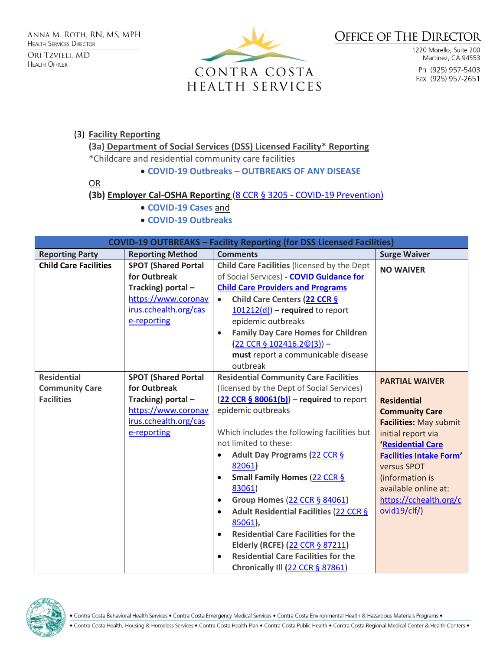

1220 Morello, Suite 200 Martinez, CA 94553 Ph (925) 957-5403 Fax (925) 957-2651

### (3) **Facility Reporting**

**(3a) Department of Social Services (DSS) Licensed Facility\* Reporting**

\*Childcare and residential community care facilities

#### • **COVID-19 Outbreaks – OUTBREAKS OF ANY DISEASE**

OR

### **(3b) Employer Cal-OSHA Reporting** (8 CCR § 3205 - [COVID-19 Prevention\)](https://www.dir.ca.gov/title8/3205.html)

- **COVID-19 Cases** and
- **COVID-19 Outbreaks**

| <b>COVID-19 OUTBREAKS - Facility Reporting (for DSS Licensed Facilities)</b> |                            |                                                         |                                |  |  |
|------------------------------------------------------------------------------|----------------------------|---------------------------------------------------------|--------------------------------|--|--|
| <b>Reporting Party</b>                                                       | <b>Reporting Method</b>    | <b>Comments</b>                                         | <b>Surge Waiver</b>            |  |  |
| <b>Child Care Facilities</b>                                                 | <b>SPOT (Shared Portal</b> | Child Care Facilities (licensed by the Dept             | <b>NO WAIVER</b>               |  |  |
|                                                                              | for Outbreak               | of Social Services) - COVID Guidance for                |                                |  |  |
|                                                                              | Tracking) portal-          | <b>Child Care Providers and Programs</b>                |                                |  |  |
|                                                                              | https://www.coronav        | Child Care Centers (22 CCR §<br>$\bullet$               |                                |  |  |
|                                                                              | irus.cchealth.org/cas      | $101212(d)$ – required to report                        |                                |  |  |
|                                                                              | e-reporting                | epidemic outbreaks                                      |                                |  |  |
|                                                                              |                            | <b>Family Day Care Homes for Children</b>               |                                |  |  |
|                                                                              |                            | $(22 CCR § 102416.2©(3)) -$                             |                                |  |  |
|                                                                              |                            | must report a communicable disease                      |                                |  |  |
|                                                                              |                            | outbreak                                                |                                |  |  |
| <b>Residential</b>                                                           | <b>SPOT (Shared Portal</b> | <b>Residential Community Care Facilities</b>            | <b>PARTIAL WAIVER</b>          |  |  |
| <b>Community Care</b>                                                        | for Outbreak               | (licensed by the Dept of Social Services)               |                                |  |  |
| <b>Facilities</b>                                                            | Tracking) portal-          | $(22 CCR § 80061(b))$ – required to report              | <b>Residential</b>             |  |  |
|                                                                              | https://www.coronav        | epidemic outbreaks                                      | <b>Community Care</b>          |  |  |
|                                                                              | irus.cchealth.org/cas      |                                                         | <b>Facilities: May submit</b>  |  |  |
|                                                                              | e-reporting                | Which includes the following facilities but             | initial report via             |  |  |
|                                                                              |                            | not limited to these:                                   | 'Residential Care              |  |  |
|                                                                              |                            | Adult Day Programs (22 CCR §<br>$\bullet$               | <b>Facilities Intake Form'</b> |  |  |
|                                                                              |                            | 82061)                                                  | versus SPOT                    |  |  |
|                                                                              |                            | Small Family Homes (22 CCR §<br>$\bullet$               | (information is                |  |  |
|                                                                              |                            | 83061)                                                  | available online at:           |  |  |
|                                                                              |                            | Group Homes (22 CCR § 84061)<br>$\bullet$               | https://cchealth.org/c         |  |  |
|                                                                              |                            | Adult Residential Facilities (22 CCR §                  | ovid19/clf/)                   |  |  |
|                                                                              |                            | 85061),                                                 |                                |  |  |
|                                                                              |                            | <b>Residential Care Facilities for the</b><br>$\bullet$ |                                |  |  |
|                                                                              |                            | Elderly (RCFE) (22 CCR § 87211)                         |                                |  |  |
|                                                                              |                            | <b>Residential Care Facilities for the</b>              |                                |  |  |
|                                                                              |                            | Chronically III (22 CCR § 87861)                        |                                |  |  |

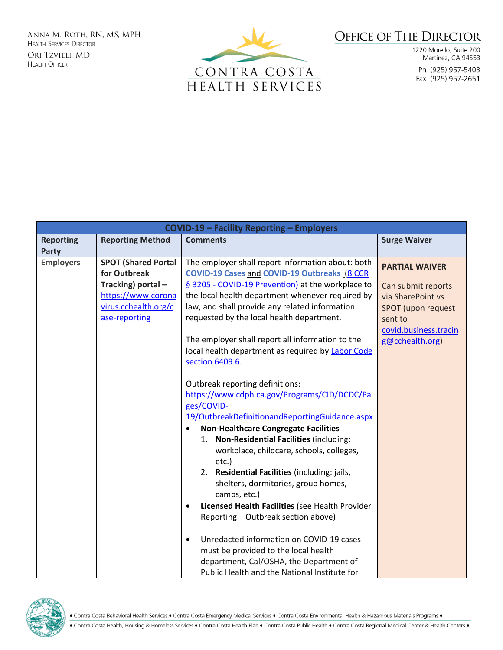ANNA M. ROTH, RN, MS, MPH **HEALTH SERVICES DIRECTOR** ORI TZVIELI, MD **HEALTH OFFICER** 



## **OFFICE OF THE DIRECTOR**

1220 Morello, Suite 200 Martinez, CA 94553 Ph (925) 957-5403 Fax (925) 957-2651

| <b>COVID-19 - Facility Reporting - Employers</b> |                                                                                                                                |                                                                                                                                                                                                                                                                                                                                                                                                                                                                                                                                                                                                                                                                                                                  |                                                                                                                                                      |  |
|--------------------------------------------------|--------------------------------------------------------------------------------------------------------------------------------|------------------------------------------------------------------------------------------------------------------------------------------------------------------------------------------------------------------------------------------------------------------------------------------------------------------------------------------------------------------------------------------------------------------------------------------------------------------------------------------------------------------------------------------------------------------------------------------------------------------------------------------------------------------------------------------------------------------|------------------------------------------------------------------------------------------------------------------------------------------------------|--|
| <b>Reporting</b><br><b>Party</b>                 | <b>Reporting Method</b>                                                                                                        | <b>Comments</b>                                                                                                                                                                                                                                                                                                                                                                                                                                                                                                                                                                                                                                                                                                  | <b>Surge Waiver</b>                                                                                                                                  |  |
| <b>Employers</b>                                 | <b>SPOT (Shared Portal</b><br>for Outbreak<br>Tracking) portal-<br>https://www.corona<br>virus.cchealth.org/c<br>ase-reporting | The employer shall report information about: both<br>COVID-19 Cases and COVID-19 Outbreaks (8 CCR<br>§ 3205 - COVID-19 Prevention) at the workplace to<br>the local health department whenever required by<br>law, and shall provide any related information<br>requested by the local health department.<br>The employer shall report all information to the<br>local health department as required by Labor Code<br>section 6409.6.                                                                                                                                                                                                                                                                            | <b>PARTIAL WAIVER</b><br>Can submit reports<br>via SharePoint vs<br><b>SPOT</b> (upon request<br>sent to<br>covid.business.tracin<br>g@cchealth.org) |  |
|                                                  |                                                                                                                                | Outbreak reporting definitions:<br>https://www.cdph.ca.gov/Programs/CID/DCDC/Pa<br>ges/COVID-<br>19/OutbreakDefinitionandReportingGuidance.aspx<br><b>Non-Healthcare Congregate Facilities</b><br>Non-Residential Facilities (including:<br>1.<br>workplace, childcare, schools, colleges,<br>etc.)<br>Residential Facilities (including: jails,<br>2.<br>shelters, dormitories, group homes,<br>camps, etc.)<br>Licensed Health Facilities (see Health Provider<br>$\bullet$<br>Reporting - Outbreak section above)<br>Unredacted information on COVID-19 cases<br>$\bullet$<br>must be provided to the local health<br>department, Cal/OSHA, the Department of<br>Public Health and the National Institute for |                                                                                                                                                      |  |

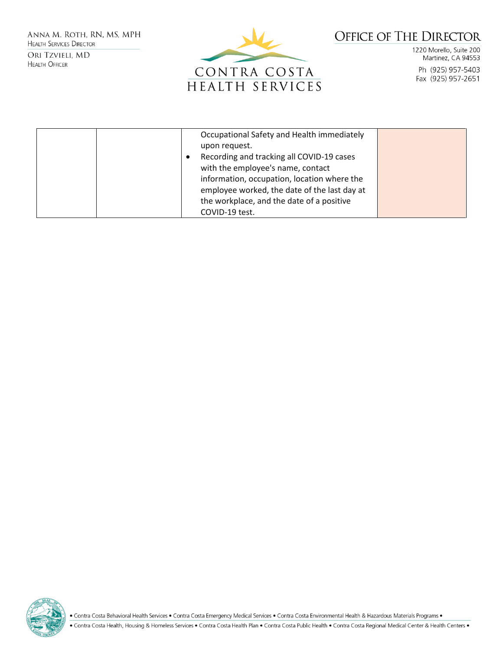ANNA M. ROTH, RN, MS, MPH **HEALTH SERVICES DIRECTOR** ORI TZVIELI, MD

**HEALTH OFFICER** 



## **OFFICE OF THE DIRECTOR**

1220 Morello, Suite 200 Martinez, CA 94553 Ph (925) 957-5403 Fax (925) 957-2651

| Occupational Safety and Health immediately<br>upon request.<br>Recording and tracking all COVID-19 cases<br>with the employee's name, contact<br>information, occupation, location where the<br>employee worked, the date of the last day at<br>the workplace, and the date of a positive |  |
|-------------------------------------------------------------------------------------------------------------------------------------------------------------------------------------------------------------------------------------------------------------------------------------------|--|
| COVID-19 test.                                                                                                                                                                                                                                                                            |  |

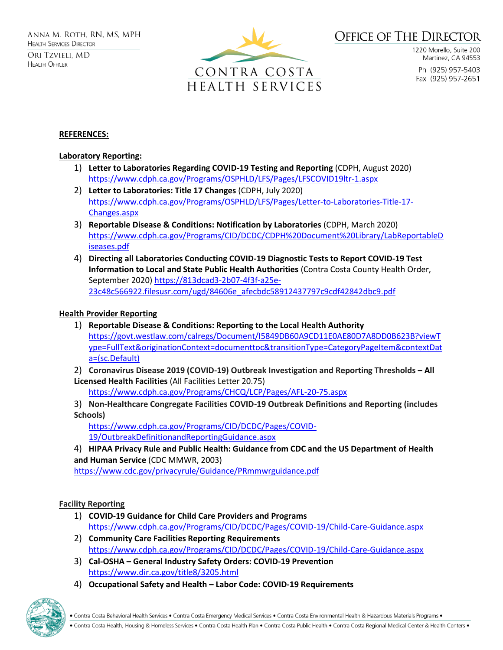

1220 Morello, Suite 200 Martinez, CA 94553 Ph (925) 957-5403 Fax (925) 957-2651

#### **REFERENCES:**

#### **Laboratory Reporting:**

- 1) **Letter to Laboratories Regarding COVID-19 Testing and Reporting** (CDPH, August 2020) <https://www.cdph.ca.gov/Programs/OSPHLD/LFS/Pages/LFSCOVID19ltr-1.aspx>
- 2) **Letter to Laboratories: Title 17 Changes** (CDPH, July 2020) [https://www.cdph.ca.gov/Programs/OSPHLD/LFS/Pages/Letter-to-Laboratories-Title-17-](https://www.cdph.ca.gov/Programs/OSPHLD/LFS/Pages/Letter-to-Laboratories-Title-17-Changes.aspx) [Changes.aspx](https://www.cdph.ca.gov/Programs/OSPHLD/LFS/Pages/Letter-to-Laboratories-Title-17-Changes.aspx)
- 3) **Reportable Disease & Conditions: Notification by Laboratories** (CDPH, March 2020) [https://www.cdph.ca.gov/Programs/CID/DCDC/CDPH%20Document%20Library/LabReportableD](https://www.cdph.ca.gov/Programs/CID/DCDC/CDPH%20Document%20Library/LabReportableDiseases.pdf) [iseases.pdf](https://www.cdph.ca.gov/Programs/CID/DCDC/CDPH%20Document%20Library/LabReportableDiseases.pdf)
- 4) **Directing all Laboratories Conducting COVID-19 Diagnostic Tests to Report COVID-19 Test Information to Local and State Public Health Authorities** (Contra Costa County Health Order, September 2020) [https://813dcad3-2b07-4f3f-a25e-](https://813dcad3-2b07-4f3f-a25e-23c48c566922.filesusr.com/ugd/84606e_afecbdc58912437797c9cdf42842dbc9.pdf)[23c48c566922.filesusr.com/ugd/84606e\\_afecbdc58912437797c9cdf42842dbc9.pdf](https://813dcad3-2b07-4f3f-a25e-23c48c566922.filesusr.com/ugd/84606e_afecbdc58912437797c9cdf42842dbc9.pdf)

#### **Health Provider Reporting**

- 1) **Reportable Disease & Conditions: Reporting to the Local Health Authority** [https://govt.westlaw.com/calregs/Document/I5849DB60A9CD11E0AE80D7A8DD0B623B?viewT](https://govt.westlaw.com/calregs/Document/I5849DB60A9CD11E0AE80D7A8DD0B623B?viewType=FullText&originationContext=documenttoc&transitionType=CategoryPageItem&contextData=(sc.Default)) [ype=FullText&originationContext=documenttoc&transitionType=CategoryPageItem&contextDat](https://govt.westlaw.com/calregs/Document/I5849DB60A9CD11E0AE80D7A8DD0B623B?viewType=FullText&originationContext=documenttoc&transitionType=CategoryPageItem&contextData=(sc.Default)) [a=\(sc.Default\)](https://govt.westlaw.com/calregs/Document/I5849DB60A9CD11E0AE80D7A8DD0B623B?viewType=FullText&originationContext=documenttoc&transitionType=CategoryPageItem&contextData=(sc.Default))
- 2) **Coronavirus Disease 2019 (COVID-19) Outbreak Investigation and Reporting Thresholds – All Licensed Health Facilities** (All Facilities Letter 20.75)

<https://www.cdph.ca.gov/Programs/CHCQ/LCP/Pages/AFL-20-75.aspx>

3) **Non-Healthcare Congregate Facilities COVID-19 Outbreak Definitions and Reporting (includes Schools)**

[https://www.cdph.ca.gov/Programs/CID/DCDC/Pages/COVID-](https://www.cdph.ca.gov/Programs/CID/DCDC/Pages/COVID-19/OutbreakDefinitionandReportingGuidance.aspx)[19/OutbreakDefinitionandReportingGuidance.aspx](https://www.cdph.ca.gov/Programs/CID/DCDC/Pages/COVID-19/OutbreakDefinitionandReportingGuidance.aspx)

4) **HIPAA Privacy Rule and Public Health: Guidance from CDC and the US Department of Health and Human Service** (CDC MMWR, 2003)

<https://www.cdc.gov/privacyrule/Guidance/PRmmwrguidance.pdf>

#### **Facility Reporting**

- 1) **COVID-19 Guidance for Child Care Providers and Programs** <https://www.cdph.ca.gov/Programs/CID/DCDC/Pages/COVID-19/Child-Care-Guidance.aspx>
- 2) **Community Care Facilities Reporting Requirements** <https://www.cdph.ca.gov/Programs/CID/DCDC/Pages/COVID-19/Child-Care-Guidance.aspx>
- 3) **Cal-OSHA – General Industry Safety Orders: COVID-19 Prevention** <https://www.dir.ca.gov/title8/3205.html>
- 4) **Occupational Safety and Health – Labor Code: COVID-19 Requirements**